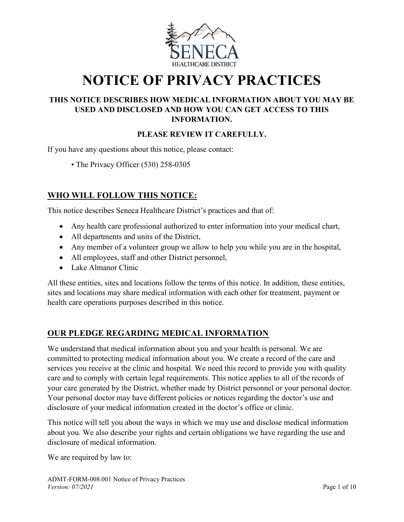

# NOTICE OF PRIVACY PRACTICES

## THIS NOTICE DESCRIBES HOW MEDICAL INFORMATION ABOUT YOU MAY BE USED AND DISCLOSED AND HOW YOU CAN GET ACCESS TO THIS INFORMATION.

#### PLEASE REVIEW IT CAREFULLY.

If you have any questions about this notice, please contact:

• The Privacy Officer (530) 258-0305

# WHO WILL FOLLOW THIS NOTICE:

This notice describes Seneca Healthcare District's practices and that of:

- Any health care professional authorized to enter information into your medical chart,
- All departments and units of the District,
- Any member of a volunteer group we allow to help you while you are in the hospital,
- All employees, staff and other District personnel,
- Lake Almanor Clinic

All these entities, sites and locations follow the terms of this notice. In addition, these entities, sites and locations may share medical information with each other for treatment, payment or health care operations purposes described in this notice.

# OUR PLEDGE REGARDING MEDICAL INFORMATION

We understand that medical information about you and your health is personal. We are committed to protecting medical information about you. We create a record of the care and services you receive at the clinic and hospital. We need this record to provide you with quality care and to comply with certain legal requirements. This notice applies to all of the records of your care generated by the District, whether made by District personnel or your personal doctor. Your personal doctor may have different policies or notices regarding the doctor's use and disclosure of your medical information created in the doctor's office or clinic.

This notice will tell you about the ways in which we may use and disclose medical information about you. We also describe your rights and certain obligations we have regarding the use and disclosure of medical information.

We are required by law to: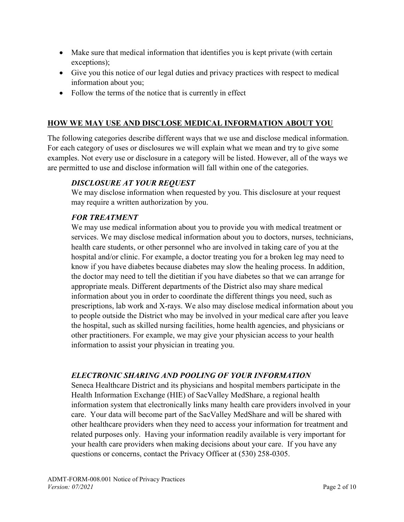- Make sure that medical information that identifies you is kept private (with certain exceptions);
- Give you this notice of our legal duties and privacy practices with respect to medical information about you;
- Follow the terms of the notice that is currently in effect

## HOW WE MAY USE AND DISCLOSE MEDICAL INFORMATION ABOUT YOU

The following categories describe different ways that we use and disclose medical information. For each category of uses or disclosures we will explain what we mean and try to give some examples. Not every use or disclosure in a category will be listed. However, all of the ways we are permitted to use and disclose information will fall within one of the categories.

## DISCLOSURE AT YOUR REQUEST

We may disclose information when requested by you. This disclosure at your request may require a written authorization by you.

## FOR TREATMENT

We may use medical information about you to provide you with medical treatment or services. We may disclose medical information about you to doctors, nurses, technicians, health care students, or other personnel who are involved in taking care of you at the hospital and/or clinic. For example, a doctor treating you for a broken leg may need to know if you have diabetes because diabetes may slow the healing process. In addition, the doctor may need to tell the dietitian if you have diabetes so that we can arrange for appropriate meals. Different departments of the District also may share medical information about you in order to coordinate the different things you need, such as prescriptions, lab work and X-rays. We also may disclose medical information about you to people outside the District who may be involved in your medical care after you leave the hospital, such as skilled nursing facilities, home health agencies, and physicians or other practitioners. For example, we may give your physician access to your health information to assist your physician in treating you.

#### ELECTRONIC SHARING AND POOLING OF YOUR INFORMATION

Seneca Healthcare District and its physicians and hospital members participate in the Health Information Exchange (HIE) of SacValley MedShare, a regional health information system that electronically links many health care providers involved in your care. Your data will become part of the SacValley MedShare and will be shared with other healthcare providers when they need to access your information for treatment and related purposes only. Having your information readily available is very important for your health care providers when making decisions about your care. If you have any questions or concerns, contact the Privacy Officer at (530) 258-0305.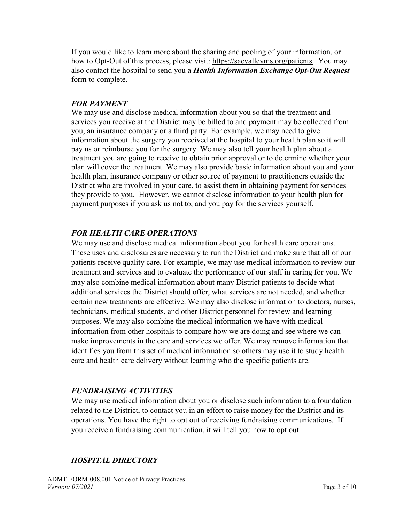If you would like to learn more about the sharing and pooling of your information, or how to Opt-Out of this process, please visit: https://sacvalleyms.org/patients. You may also contact the hospital to send you a Health Information Exchange Opt-Out Request form to complete.

#### FOR PAYMENT

We may use and disclose medical information about you so that the treatment and services you receive at the District may be billed to and payment may be collected from you, an insurance company or a third party. For example, we may need to give information about the surgery you received at the hospital to your health plan so it will pay us or reimburse you for the surgery. We may also tell your health plan about a treatment you are going to receive to obtain prior approval or to determine whether your plan will cover the treatment. We may also provide basic information about you and your health plan, insurance company or other source of payment to practitioners outside the District who are involved in your care, to assist them in obtaining payment for services they provide to you. However, we cannot disclose information to your health plan for payment purposes if you ask us not to, and you pay for the services yourself.

#### FOR HEALTH CARE OPERATIONS

We may use and disclose medical information about you for health care operations. These uses and disclosures are necessary to run the District and make sure that all of our patients receive quality care. For example, we may use medical information to review our treatment and services and to evaluate the performance of our staff in caring for you. We may also combine medical information about many District patients to decide what additional services the District should offer, what services are not needed, and whether certain new treatments are effective. We may also disclose information to doctors, nurses, technicians, medical students, and other District personnel for review and learning purposes. We may also combine the medical information we have with medical information from other hospitals to compare how we are doing and see where we can make improvements in the care and services we offer. We may remove information that identifies you from this set of medical information so others may use it to study health care and health care delivery without learning who the specific patients are.

#### FUNDRAISING ACTIVITIES

We may use medical information about you or disclose such information to a foundation related to the District, to contact you in an effort to raise money for the District and its operations. You have the right to opt out of receiving fundraising communications. If you receive a fundraising communication, it will tell you how to opt out.

#### HOSPITAL DIRECTORY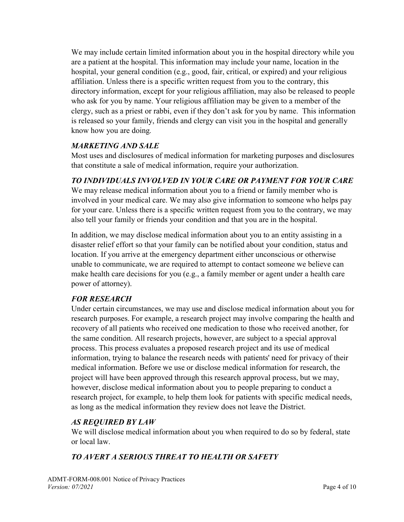We may include certain limited information about you in the hospital directory while you are a patient at the hospital. This information may include your name, location in the hospital, your general condition (e.g., good, fair, critical, or expired) and your religious affiliation. Unless there is a specific written request from you to the contrary, this directory information, except for your religious affiliation, may also be released to people who ask for you by name. Your religious affiliation may be given to a member of the clergy, such as a priest or rabbi, even if they don't ask for you by name. This information is released so your family, friends and clergy can visit you in the hospital and generally know how you are doing.

## MARKETING AND SALE

Most uses and disclosures of medical information for marketing purposes and disclosures that constitute a sale of medical information, require your authorization.

## TO INDIVIDUALS INVOLVED IN YOUR CARE OR PAYMENT FOR YOUR CARE

We may release medical information about you to a friend or family member who is involved in your medical care. We may also give information to someone who helps pay for your care. Unless there is a specific written request from you to the contrary, we may also tell your family or friends your condition and that you are in the hospital.

In addition, we may disclose medical information about you to an entity assisting in a disaster relief effort so that your family can be notified about your condition, status and location. If you arrive at the emergency department either unconscious or otherwise unable to communicate, we are required to attempt to contact someone we believe can make health care decisions for you (e.g., a family member or agent under a health care power of attorney).

## FOR RESEARCH

Under certain circumstances, we may use and disclose medical information about you for research purposes. For example, a research project may involve comparing the health and recovery of all patients who received one medication to those who received another, for the same condition. All research projects, however, are subject to a special approval process. This process evaluates a proposed research project and its use of medical information, trying to balance the research needs with patients' need for privacy of their medical information. Before we use or disclose medical information for research, the project will have been approved through this research approval process, but we may, however, disclose medical information about you to people preparing to conduct a research project, for example, to help them look for patients with specific medical needs, as long as the medical information they review does not leave the District.

#### AS REQUIRED BY LAW

We will disclose medical information about you when required to do so by federal, state or local law.

## TO AVERT A SERIOUS THREAT TO HEALTH OR SAFETY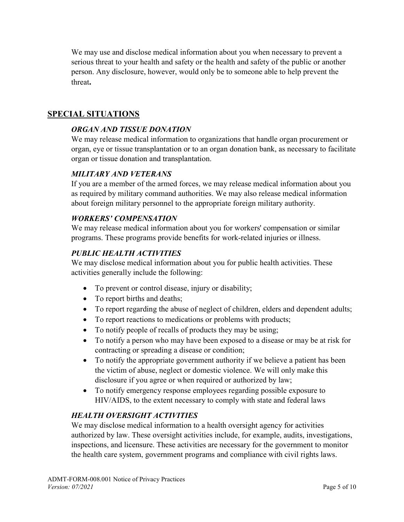We may use and disclose medical information about you when necessary to prevent a serious threat to your health and safety or the health and safety of the public or another person. Any disclosure, however, would only be to someone able to help prevent the threat.

## SPECIAL SITUATIONS

## ORGAN AND TISSUE DONATION

We may release medical information to organizations that handle organ procurement or organ, eye or tissue transplantation or to an organ donation bank, as necessary to facilitate organ or tissue donation and transplantation.

#### MILITARY AND VETERANS

If you are a member of the armed forces, we may release medical information about you as required by military command authorities. We may also release medical information about foreign military personnel to the appropriate foreign military authority.

#### WORKERS' COMPENSATION

We may release medical information about you for workers' compensation or similar programs. These programs provide benefits for work-related injuries or illness.

#### PUBLIC HEALTH ACTIVITIES

We may disclose medical information about you for public health activities. These activities generally include the following:

- To prevent or control disease, injury or disability;
- To report births and deaths;
- To report regarding the abuse of neglect of children, elders and dependent adults;
- To report reactions to medications or problems with products;
- To notify people of recalls of products they may be using;
- To notify a person who may have been exposed to a disease or may be at risk for contracting or spreading a disease or condition;
- To notify the appropriate government authority if we believe a patient has been the victim of abuse, neglect or domestic violence. We will only make this disclosure if you agree or when required or authorized by law;
- To notify emergency response employees regarding possible exposure to HIV/AIDS, to the extent necessary to comply with state and federal laws

## HEALTH OVERSIGHT ACTIVITIES

We may disclose medical information to a health oversight agency for activities authorized by law. These oversight activities include, for example, audits, investigations, inspections, and licensure. These activities are necessary for the government to monitor the health care system, government programs and compliance with civil rights laws.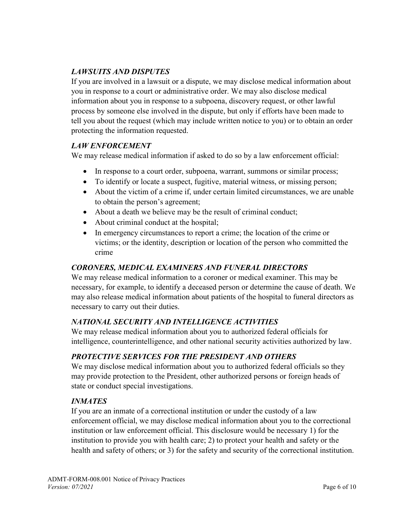# LAWSUITS AND DISPUTES

If you are involved in a lawsuit or a dispute, we may disclose medical information about you in response to a court or administrative order. We may also disclose medical information about you in response to a subpoena, discovery request, or other lawful process by someone else involved in the dispute, but only if efforts have been made to tell you about the request (which may include written notice to you) or to obtain an order protecting the information requested.

## LAW ENFORCEMENT

We may release medical information if asked to do so by a law enforcement official:

- In response to a court order, subpoena, warrant, summons or similar process;
- To identify or locate a suspect, fugitive, material witness, or missing person;
- About the victim of a crime if, under certain limited circumstances, we are unable to obtain the person's agreement;
- About a death we believe may be the result of criminal conduct;
- About criminal conduct at the hospital;
- In emergency circumstances to report a crime; the location of the crime or victims; or the identity, description or location of the person who committed the crime

#### CORONERS, MEDICAL EXAMINERS AND FUNERAL DIRECTORS

We may release medical information to a coroner or medical examiner. This may be necessary, for example, to identify a deceased person or determine the cause of death. We may also release medical information about patients of the hospital to funeral directors as necessary to carry out their duties.

#### NATIONAL SECURITY AND INTELLIGENCE ACTIVITIES

We may release medical information about you to authorized federal officials for intelligence, counterintelligence, and other national security activities authorized by law.

## PROTECTIVE SERVICES FOR THE PRESIDENT AND OTHERS

We may disclose medical information about you to authorized federal officials so they may provide protection to the President, other authorized persons or foreign heads of state or conduct special investigations.

## **INMATES**

If you are an inmate of a correctional institution or under the custody of a law enforcement official, we may disclose medical information about you to the correctional institution or law enforcement official. This disclosure would be necessary 1) for the institution to provide you with health care; 2) to protect your health and safety or the health and safety of others; or 3) for the safety and security of the correctional institution.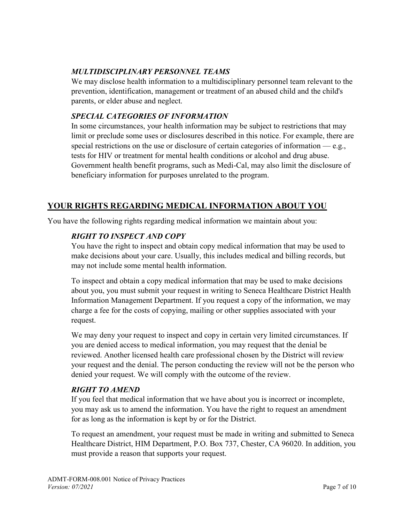## MULTIDISCIPLINARY PERSONNEL TEAMS

We may disclose health information to a multidisciplinary personnel team relevant to the prevention, identification, management or treatment of an abused child and the child's parents, or elder abuse and neglect.

## SPECIAL CATEGORIES OF INFORMATION

In some circumstances, your health information may be subject to restrictions that may limit or preclude some uses or disclosures described in this notice. For example, there are special restrictions on the use or disclosure of certain categories of information — e.g., tests for HIV or treatment for mental health conditions or alcohol and drug abuse. Government health benefit programs, such as Medi-Cal, may also limit the disclosure of beneficiary information for purposes unrelated to the program.

# YOUR RIGHTS REGARDING MEDICAL INFORMATION ABOUT YOU

You have the following rights regarding medical information we maintain about you:

#### RIGHT TO INSPECT AND COPY

You have the right to inspect and obtain copy medical information that may be used to make decisions about your care. Usually, this includes medical and billing records, but may not include some mental health information.

To inspect and obtain a copy medical information that may be used to make decisions about you, you must submit your request in writing to Seneca Healthcare District Health Information Management Department. If you request a copy of the information, we may charge a fee for the costs of copying, mailing or other supplies associated with your request.

We may deny your request to inspect and copy in certain very limited circumstances. If you are denied access to medical information, you may request that the denial be reviewed. Another licensed health care professional chosen by the District will review your request and the denial. The person conducting the review will not be the person who denied your request. We will comply with the outcome of the review.

#### RIGHT TO AMEND

If you feel that medical information that we have about you is incorrect or incomplete, you may ask us to amend the information. You have the right to request an amendment for as long as the information is kept by or for the District.

To request an amendment, your request must be made in writing and submitted to Seneca Healthcare District, HIM Department, P.O. Box 737, Chester, CA 96020. In addition, you must provide a reason that supports your request.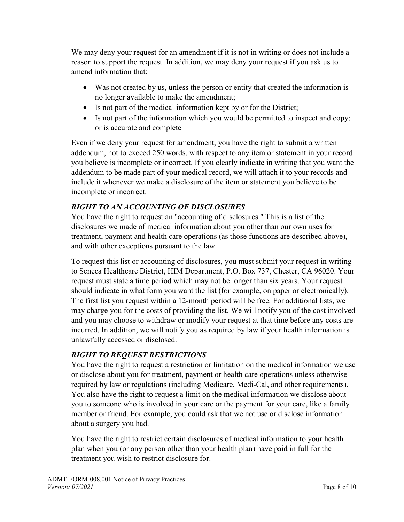We may deny your request for an amendment if it is not in writing or does not include a reason to support the request. In addition, we may deny your request if you ask us to amend information that:

- Was not created by us, unless the person or entity that created the information is no longer available to make the amendment;
- Is not part of the medical information kept by or for the District;
- Is not part of the information which you would be permitted to inspect and copy; or is accurate and complete

Even if we deny your request for amendment, you have the right to submit a written addendum, not to exceed 250 words, with respect to any item or statement in your record you believe is incomplete or incorrect. If you clearly indicate in writing that you want the addendum to be made part of your medical record, we will attach it to your records and include it whenever we make a disclosure of the item or statement you believe to be incomplete or incorrect.

# RIGHT TO AN ACCOUNTING OF DISCLOSURES

You have the right to request an "accounting of disclosures." This is a list of the disclosures we made of medical information about you other than our own uses for treatment, payment and health care operations (as those functions are described above), and with other exceptions pursuant to the law.

To request this list or accounting of disclosures, you must submit your request in writing to Seneca Healthcare District, HIM Department, P.O. Box 737, Chester, CA 96020. Your request must state a time period which may not be longer than six years. Your request should indicate in what form you want the list (for example, on paper or electronically). The first list you request within a 12-month period will be free. For additional lists, we may charge you for the costs of providing the list. We will notify you of the cost involved and you may choose to withdraw or modify your request at that time before any costs are incurred. In addition, we will notify you as required by law if your health information is unlawfully accessed or disclosed.

# RIGHT TO REQUEST RESTRICTIONS

You have the right to request a restriction or limitation on the medical information we use or disclose about you for treatment, payment or health care operations unless otherwise required by law or regulations (including Medicare, Medi-Cal, and other requirements). You also have the right to request a limit on the medical information we disclose about you to someone who is involved in your care or the payment for your care, like a family member or friend. For example, you could ask that we not use or disclose information about a surgery you had.

You have the right to restrict certain disclosures of medical information to your health plan when you (or any person other than your health plan) have paid in full for the treatment you wish to restrict disclosure for.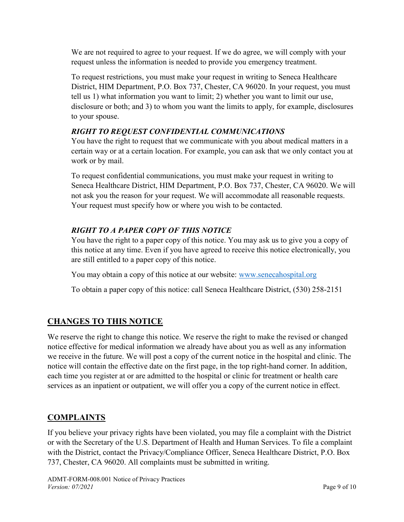We are not required to agree to your request. If we do agree, we will comply with your request unless the information is needed to provide you emergency treatment.

To request restrictions, you must make your request in writing to Seneca Healthcare District, HIM Department, P.O. Box 737, Chester, CA 96020. In your request, you must tell us 1) what information you want to limit; 2) whether you want to limit our use, disclosure or both; and 3) to whom you want the limits to apply, for example, disclosures to your spouse.

# RIGHT TO REQUEST CONFIDENTIAL COMMUNICATIONS

You have the right to request that we communicate with you about medical matters in a certain way or at a certain location. For example, you can ask that we only contact you at work or by mail.

To request confidential communications, you must make your request in writing to Seneca Healthcare District, HIM Department, P.O. Box 737, Chester, CA 96020. We will not ask you the reason for your request. We will accommodate all reasonable requests. Your request must specify how or where you wish to be contacted.

# RIGHT TO A PAPER COPY OF THIS NOTICE

You have the right to a paper copy of this notice. You may ask us to give you a copy of this notice at any time. Even if you have agreed to receive this notice electronically, you are still entitled to a paper copy of this notice.

You may obtain a copy of this notice at our website: www.senecahospital.org

To obtain a paper copy of this notice: call Seneca Healthcare District, (530) 258-2151

# CHANGES TO THIS NOTICE

We reserve the right to change this notice. We reserve the right to make the revised or changed notice effective for medical information we already have about you as well as any information we receive in the future. We will post a copy of the current notice in the hospital and clinic. The notice will contain the effective date on the first page, in the top right-hand corner. In addition, each time you register at or are admitted to the hospital or clinic for treatment or health care services as an inpatient or outpatient, we will offer you a copy of the current notice in effect.

# **COMPLAINTS**

If you believe your privacy rights have been violated, you may file a complaint with the District or with the Secretary of the U.S. Department of Health and Human Services. To file a complaint with the District, contact the Privacy/Compliance Officer, Seneca Healthcare District, P.O. Box 737, Chester, CA 96020. All complaints must be submitted in writing.